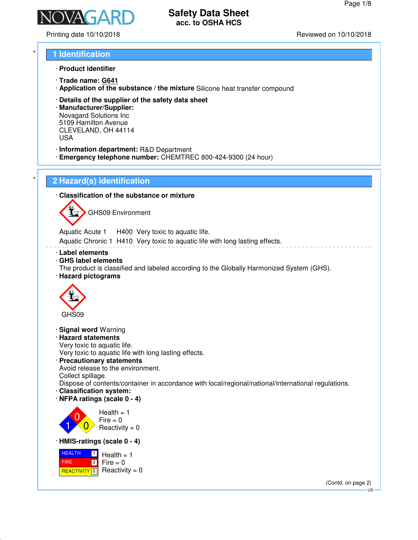

Printing date 10/10/2018 Reviewed on 10/10/2018

# \* **1 Identification**

- · **Product identifier**
- · **Trade name: G641**
- · **Application of the substance / the mixture** Silicone heat transfer compound
- · **Details of the supplier of the safety data sheet**
- · **Manufacturer/Supplier:** Novagard Solutions Inc 5109 Hamilton Avenue CLEVELAND, OH 44114 USA
- · **Information department:** R&D Department
- · **Emergency telephone number:** CHEMTREC 800-424-9300 (24 hour)

# \* **2 Hazard(s) identification**

· **Classification of the substance or mixture**

GHS09 Environment

Aquatic Acute 1 H400 Very toxic to aquatic life. Aquatic Chronic 1 H410 Very toxic to aquatic life with long lasting effects.

- · **Label elements**
- · **GHS label elements**
- The product is classified and labeled according to the Globally Harmonized System (GHS).
- · **Hazard pictograms**



- · **Signal word** Warning
- · **Hazard statements**

Very toxic to aquatic life.

Very toxic to aquatic life with long lasting effects.

· **Precautionary statements** Avoid release to the environment. Collect spillage.

Dispose of contents/container in accordance with local/regional/national/international regulations.

- · **Classification system:**
- · **NFPA ratings (scale 0 4)**



 $Fire = 0$  $Reactivity = 0$ 

· **HMIS-ratings (scale 0 - 4)**

 HEALTH FIRE <mark>REACTIVITY</mark> 0  $\blacksquare$  $\boxed{0}$  $Health = 1$  $Fire = 0$ Reactivity  $= 0$ 

> (Contd. on page 2) US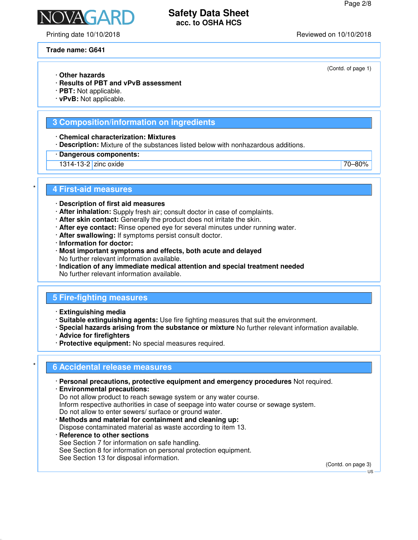(Contd. of page 1)

# **Safety Data Sheet acc. to OSHA HCS**

NAGAR

### **Trade name: G641**

- · **Other hazards**
- · **Results of PBT and vPvB assessment**
- · **PBT:** Not applicable.
- · **vPvB:** Not applicable.

### **3 Composition/information on ingredients**

· **Chemical characterization: Mixtures**

- · **Description:** Mixture of the substances listed below with nonhazardous additions.
- · **Dangerous components:**
- 1314-13-2 zinc oxide 70–80%

### \* **4 First-aid measures**

- · **Description of first aid measures**
- · **After inhalation:** Supply fresh air; consult doctor in case of complaints.
- · **After skin contact:** Generally the product does not irritate the skin.
- · **After eye contact:** Rinse opened eye for several minutes under running water.
- · **After swallowing:** If symptoms persist consult doctor.
- · **Information for doctor:**
- · **Most important symptoms and effects, both acute and delayed** No further relevant information available.
- · **Indication of any immediate medical attention and special treatment needed** No further relevant information available.

### **5 Fire-fighting measures**

- · **Extinguishing media**
- · **Suitable extinguishing agents:** Use fire fighting measures that suit the environment.
- · **Special hazards arising from the substance or mixture** No further relevant information available.
- · **Advice for firefighters**
- · **Protective equipment:** No special measures required.

### \* **6 Accidental release measures**

- · **Personal precautions, protective equipment and emergency procedures** Not required.
- · **Environmental precautions:** Do not allow product to reach sewage system or any water course. Inform respective authorities in case of seepage into water course or sewage system. Do not allow to enter sewers/ surface or ground water. · **Methods and material for containment and cleaning up:**
- Dispose contaminated material as waste according to item 13.
- · **Reference to other sections** See Section 7 for information on safe handling. See Section 8 for information on personal protection equipment. See Section 13 for disposal information.

(Contd. on page 3)

US

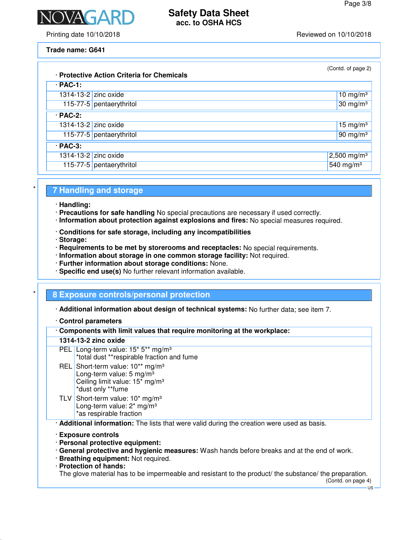

Printing date 10/10/2018 Reviewed on 10/10/2018

### **Trade name: G641**

|                      | · Protective Action Criteria for Chemicals | (Contd. of page 2)      |
|----------------------|--------------------------------------------|-------------------------|
| $\cdot$ PAC-1:       |                                            |                         |
| 1314-13-2 zinc oxide |                                            | 10 mg/m $3$             |
|                      | 115-77-5 pentaerythritol                   | 30 mg/m $3$             |
| $·$ PAC-2:           |                                            |                         |
| 1314-13-2 zinc oxide |                                            | 15 mg/m $3$             |
|                      | 115-77-5 pentaerythritol                   | $90 \text{ mg/m}^3$     |
| $·$ PAC-3:           |                                            |                         |
| 1314-13-2 zinc oxide |                                            | 2,500 mg/m <sup>3</sup> |
|                      | 115-77-5 pentaerythritol                   | 540 mg/m <sup>3</sup>   |

### \* **7 Handling and storage**

- · **Handling:**
- · **Precautions for safe handling** No special precautions are necessary if used correctly.
- · **Information about protection against explosions and fires:** No special measures required.
- · **Conditions for safe storage, including any incompatibilities**
- · **Storage:**
- · **Requirements to be met by storerooms and receptacles:** No special requirements.
- · **Information about storage in one common storage facility:** Not required.
- · **Further information about storage conditions:** None.
- · **Specific end use(s)** No further relevant information available.

### \* **8 Exposure controls/personal protection**

· **Additional information about design of technical systems:** No further data; see item 7.

### · **Control parameters**

| Components with limit values that require monitoring at the workplace: |
|------------------------------------------------------------------------|
|------------------------------------------------------------------------|

### **1314-13-2 zinc oxide**

- PEL Long-term value: 15<sup>\*</sup> 5<sup>\*\*</sup> mg/m<sup>3</sup> \*total dust \*\*respirable fraction and fume
- REL Short-term value: 10<sup>\*\*</sup> mg/m<sup>3</sup> Long-term value:  $5 \text{ mg/m}^3$ Ceiling limit value: 15\* mg/m³ \*dust only \*\*fume
- TLV Short-term value: 10<sup>\*</sup> mg/m<sup>3</sup> Long-term value:  $2<sup>*</sup>$  mg/m<sup>3</sup> \*as respirable fraction

· **Additional information:** The lists that were valid during the creation were used as basis.

- · **Exposure controls**
- · **Personal protective equipment:**
- · **General protective and hygienic measures:** Wash hands before breaks and at the end of work.
- · **Breathing equipment:** Not required.
- · **Protection of hands:**

The glove material has to be impermeable and resistant to the product/ the substance/ the preparation.

US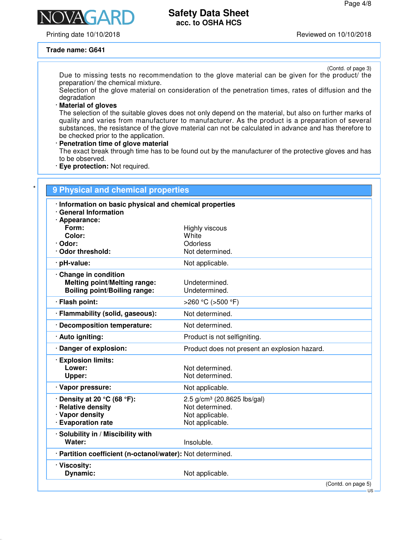Printing date 10/10/2018 Reviewed on 10/10/2018

**NAGA** 

### **Trade name: G641**

(Contd. of page 3)

Due to missing tests no recommendation to the glove material can be given for the product/ the preparation/ the chemical mixture.

Selection of the glove material on consideration of the penetration times, rates of diffusion and the degradation

### · **Material of gloves**

The selection of the suitable gloves does not only depend on the material, but also on further marks of quality and varies from manufacturer to manufacturer. As the product is a preparation of several substances, the resistance of the glove material can not be calculated in advance and has therefore to be checked prior to the application.

### · **Penetration time of glove material**

The exact break through time has to be found out by the manufacturer of the protective gloves and has to be observed.

· **Eye protection:** Not required.

| · General Information<br>· Appearance:<br>Form:<br>Color:<br>· Odor: | Highly viscous                                |
|----------------------------------------------------------------------|-----------------------------------------------|
|                                                                      |                                               |
|                                                                      |                                               |
|                                                                      | White                                         |
| Odor threshold:                                                      | Odorless<br>Not determined.                   |
| · pH-value:                                                          | Not applicable.                               |
| · Change in condition                                                |                                               |
| <b>Melting point/Melting range:</b>                                  | Undetermined.                                 |
| <b>Boiling point/Boiling range:</b>                                  | Undetermined.                                 |
| · Flash point:                                                       | >260 °C (>500 °F)                             |
| · Flammability (solid, gaseous):                                     | Not determined.                               |
| Decomposition temperature:                                           | Not determined.                               |
| · Auto igniting:                                                     | Product is not selfigniting.                  |
| · Danger of explosion:                                               | Product does not present an explosion hazard. |
| · Explosion limits:                                                  |                                               |
| Lower:                                                               | Not determined.                               |
| Upper:                                                               | Not determined.                               |
| · Vapor pressure:                                                    | Not applicable.                               |
| $\cdot$ Density at 20 °C (68 °F):                                    | 2.5 g/cm <sup>3</sup> (20.8625 lbs/gal)       |
| · Relative density                                                   | Not determined.                               |
| · Vapor density                                                      | Not applicable.                               |
| · Evaporation rate                                                   | Not applicable.                               |
| · Solubility in / Miscibility with                                   |                                               |
| Water:                                                               | Insoluble.                                    |
| · Partition coefficient (n-octanol/water): Not determined.           |                                               |
| · Viscosity:<br><b>Dynamic:</b>                                      | Not applicable.                               |

US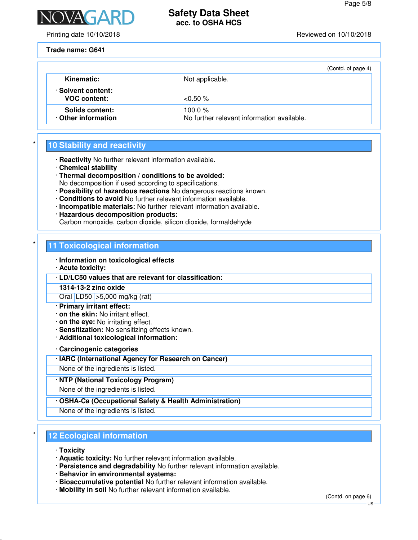

Printing date 10/10/2018 Reviewed on 10/10/2018

**Trade name: G641**

|                                           |                                                         | (Contd. of page 4) |
|-------------------------------------------|---------------------------------------------------------|--------------------|
| Kinematic:                                | Not applicable.                                         |                    |
| · Solvent content:<br><b>VOC content:</b> | $< 0.50 \%$                                             |                    |
| Solids content:<br>Other information      | 100.0 $%$<br>No further relevant information available. |                    |

# **10 Stability and reactivity**

- · **Reactivity** No further relevant information available.
- · **Chemical stability**
- · **Thermal decomposition / conditions to be avoided:**
- No decomposition if used according to specifications.
- · **Possibility of hazardous reactions** No dangerous reactions known.
- · **Conditions to avoid** No further relevant information available.
- · **Incompatible materials:** No further relevant information available. · **Hazardous decomposition products:**
- Carbon monoxide, carbon dioxide, silicon dioxide, formaldehyde

# **11 Toxicological information**

- · **Information on toxicological effects**
- · **Acute toxicity:**
- · **LD/LC50 values that are relevant for classification:**
- **1314-13-2 zinc oxide**
- Oral LD50 >5,000 mg/kg (rat)
- · **Primary irritant effect:**
- · **on the skin:** No irritant effect.
- · **on the eye:** No irritating effect.
- · **Sensitization:** No sensitizing effects known.
- · **Additional toxicological information:**

· **Carcinogenic categories**

- · **IARC (International Agency for Research on Cancer)**
- None of the ingredients is listed.

· **NTP (National Toxicology Program)**

None of the ingredients is listed.

· **OSHA-Ca (Occupational Safety & Health Administration)**

None of the ingredients is listed.

### **12 Ecological information**

- · **Toxicity**
- · **Aquatic toxicity:** No further relevant information available.
- · **Persistence and degradability** No further relevant information available.
- · **Behavior in environmental systems:**
- · **Bioaccumulative potential** No further relevant information available.
- · **Mobility in soil** No further relevant information available.

(Contd. on page 6)

US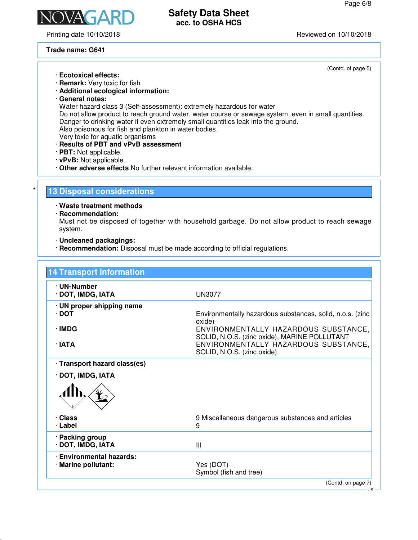(Contd. of page 5)

US



# **Safety Data Sheet acc. to OSHA HCS**

Printing date 10/10/2018 Reviewed on 10/10/2018

**Trade name: G641**

· **Ecotoxical effects:** · **Remark:** Very toxic for fish · **Additional ecological information:** · **General notes:** Water hazard class 3 (Self-assessment): extremely hazardous for water Do not allow product to reach ground water, water course or sewage system, even in small quantities. Danger to drinking water if even extremely small quantities leak into the ground. Also poisonous for fish and plankton in water bodies. Very toxic for aquatic organisms · **Results of PBT and vPvB assessment** · **PBT:** Not applicable. · **vPvB:** Not applicable. · **Other adverse effects** No further relevant information available. **13 Disposal considerations** · **Waste treatment methods** · **Recommendation:** Must not be disposed of together with household garbage. Do not allow product to reach sewage system. · **Uncleaned packagings:** · **Recommendation:** Disposal must be made according to official regulations. **14 Transport information**

| · UN-Number<br>· DOT, IMDG, IATA                | UN3077                                                                               |
|-------------------------------------------------|--------------------------------------------------------------------------------------|
| · UN proper shipping name<br>$\cdot$ DOT        | Environmentally hazardous substances, solid, n.o.s. (zinc<br>oxide)                  |
| · IMDG                                          | ENVIRONMENTALLY HAZARDOUS SUBSTANCE,<br>SOLID, N.O.S. (zinc oxide), MARINE POLLUTANT |
| $\cdot$ IATA                                    | ENVIRONMENTALLY HAZARDOUS SUBSTANCE,<br>SOLID, N.O.S. (zinc oxide)                   |
| · Transport hazard class(es)                    |                                                                                      |
| · DOT, IMDG, IATA                               |                                                                                      |
|                                                 |                                                                                      |
| · Class<br>∙ Label                              | 9 Miscellaneous dangerous substances and articles<br>9                               |
| · Packing group<br>· DOT, IMDG, IATA            | Ш                                                                                    |
| · Environmental hazards:<br>· Marine pollutant: | Yes (DOT)<br>Symbol (fish and tree)                                                  |
|                                                 | (Contd. on page 7)                                                                   |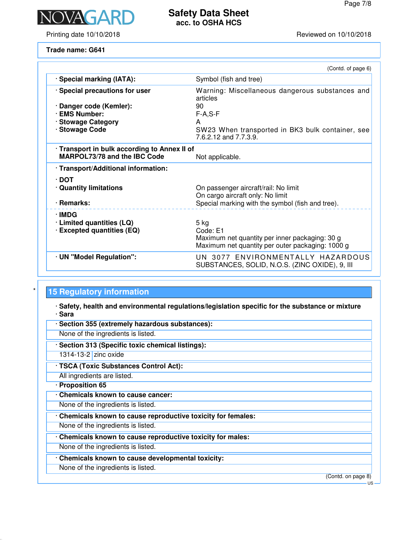

Printing date 10/10/2018 Reviewed on 10/10/2018

# **Safety Data Sheet acc. to OSHA HCS**

**Trade name: G641**

| · Special marking (IATA):<br>Symbol (fish and tree)<br>· Special precautions for user<br>Warning: Miscellaneous dangerous substances and<br>articles<br>· Danger code (Kemler):<br>90<br><b>EMS Number:</b><br>$F-A, S-F$<br>· Stowage Category<br>A |  |
|------------------------------------------------------------------------------------------------------------------------------------------------------------------------------------------------------------------------------------------------------|--|
|                                                                                                                                                                                                                                                      |  |
|                                                                                                                                                                                                                                                      |  |
|                                                                                                                                                                                                                                                      |  |
|                                                                                                                                                                                                                                                      |  |
|                                                                                                                                                                                                                                                      |  |
| · Stowage Code<br>SW23 When transported in BK3 bulk container, see<br>7.6.2.12 and 7.7.3.9.                                                                                                                                                          |  |
| · Transport in bulk according to Annex II of                                                                                                                                                                                                         |  |
| <b>MARPOL73/78 and the IBC Code</b><br>Not applicable.                                                                                                                                                                                               |  |
| · Transport/Additional information:                                                                                                                                                                                                                  |  |
| ∙ DOT                                                                                                                                                                                                                                                |  |
| · Quantity limitations<br>On passenger aircraft/rail: No limit                                                                                                                                                                                       |  |
| On cargo aircraft only: No limit                                                                                                                                                                                                                     |  |
| Special marking with the symbol (fish and tree).<br>· Remarks:                                                                                                                                                                                       |  |
| · IMDG                                                                                                                                                                                                                                               |  |
| · Limited quantities (LQ)<br>$5$ kg                                                                                                                                                                                                                  |  |
| · Excepted quantities (EQ)<br>Code: E1                                                                                                                                                                                                               |  |
| Maximum net quantity per inner packaging: 30 g<br>Maximum net quantity per outer packaging: 1000 g                                                                                                                                                   |  |
| UN 3077 ENVIRONMENTALLY HAZARDOUS<br>· UN "Model Regulation":<br>SUBSTANCES, SOLID, N.O.S. (ZINC OXIDE), 9, III                                                                                                                                      |  |

# **15 Regulatory information**

· **Safety, health and environmental regulations/legislation specific for the substance or mixture** · **Sara**

- · **Section 355 (extremely hazardous substances):**
- None of the ingredients is listed.
- · **Section 313 (Specific toxic chemical listings):**
- 1314-13-2 zinc oxide
- · **TSCA (Toxic Substances Control Act):** All ingredients are listed.
- · **Proposition 65**
- · **Chemicals known to cause cancer:**
- None of the ingredients is listed.
- · **Chemicals known to cause reproductive toxicity for females:**
- None of the ingredients is listed.
- · **Chemicals known to cause reproductive toxicity for males:**
- None of the ingredients is listed.
- · **Chemicals known to cause developmental toxicity:**
- None of the ingredients is listed.

(Contd. on page 8)

US